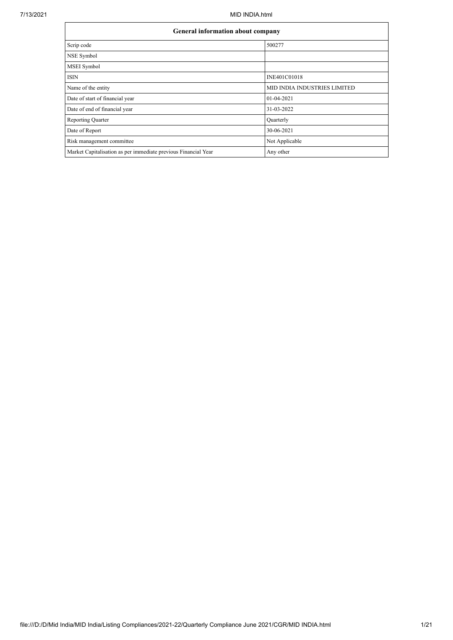| <b>General information about company</b>                       |                              |
|----------------------------------------------------------------|------------------------------|
| Scrip code                                                     | 500277                       |
| NSE Symbol                                                     |                              |
| MSEI Symbol                                                    |                              |
| <b>ISIN</b>                                                    | INE401C01018                 |
| Name of the entity                                             | MID INDIA INDUSTRIES LIMITED |
| Date of start of financial year                                | $01-04-2021$                 |
| Date of end of financial year                                  | 31-03-2022                   |
| <b>Reporting Quarter</b>                                       | Quarterly                    |
| Date of Report                                                 | 30-06-2021                   |
| Risk management committee                                      | Not Applicable               |
| Market Capitalisation as per immediate previous Financial Year | Any other                    |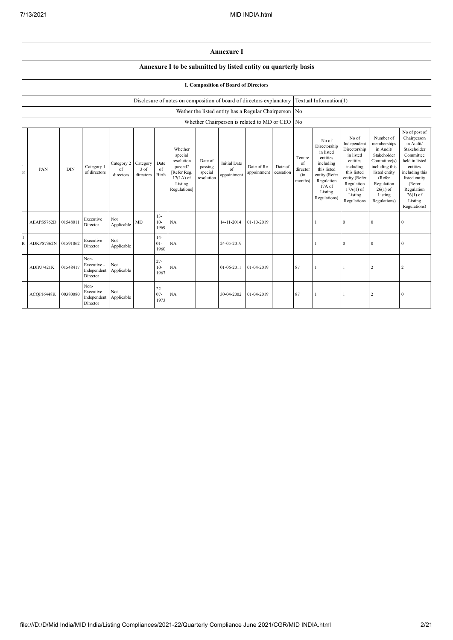## **Annexure I**

## **Annexure I to be submitted by listed entity on quarterly basis**

## **I. Composition of Board of Directors**

|                             |            | Disclosure of notes on composition of board of directors explanatory<br>Wether the listed entity has a Regular Chairperson No<br>Whether Chairperson is related to MD or CEO |                                                |                               |                                 |                          |                                                                                                      |                                             | Textual Information(1)                   |                            |                      |                                            |                                                                                                                                                |                                                                                                                                                                   |                                                                                                                                                                          |                                                                                                                                                                                                         |
|-----------------------------|------------|------------------------------------------------------------------------------------------------------------------------------------------------------------------------------|------------------------------------------------|-------------------------------|---------------------------------|--------------------------|------------------------------------------------------------------------------------------------------|---------------------------------------------|------------------------------------------|----------------------------|----------------------|--------------------------------------------|------------------------------------------------------------------------------------------------------------------------------------------------|-------------------------------------------------------------------------------------------------------------------------------------------------------------------|--------------------------------------------------------------------------------------------------------------------------------------------------------------------------|---------------------------------------------------------------------------------------------------------------------------------------------------------------------------------------------------------|
|                             |            |                                                                                                                                                                              |                                                |                               |                                 |                          |                                                                                                      |                                             |                                          |                            |                      |                                            |                                                                                                                                                |                                                                                                                                                                   |                                                                                                                                                                          |                                                                                                                                                                                                         |
|                             |            |                                                                                                                                                                              |                                                |                               |                                 |                          |                                                                                                      |                                             |                                          |                            |                      | N <sub>o</sub>                             |                                                                                                                                                |                                                                                                                                                                   |                                                                                                                                                                          |                                                                                                                                                                                                         |
| $\epsilon$<br>$\mathcal{F}$ | PAN        | <b>DIN</b>                                                                                                                                                                   | Category 1<br>of directors                     | Category 2<br>of<br>directors | Category<br>$3$ of<br>directors | Date<br>of<br>Birth      | Whether<br>special<br>resolution<br>passed?<br>[Refer Reg.<br>$17(1A)$ of<br>Listing<br>Regulations] | Date of<br>passing<br>special<br>resolution | <b>Initial Date</b><br>of<br>appointment | Date of Re-<br>appointment | Date of<br>cessation | Tenure<br>of<br>director<br>(in<br>months) | No of<br>Directorship<br>in listed<br>entities<br>including<br>this listed<br>entity (Refer<br>Regulation<br>17A of<br>Listing<br>Regulations) | No of<br>Independent<br>Directorship<br>in listed<br>entities<br>including<br>this listed<br>entity (Refer<br>Regulation<br>$17A(1)$ of<br>Listing<br>Regulations | Number of<br>memberships<br>in Audit/<br>Stakeholder<br>Committee(s)<br>including this<br>listed entity<br>(Refer<br>Regulation<br>$26(1)$ of<br>Listing<br>Regulations) | No of post of<br>Chairperson<br>in Audit/<br>Stakeholder<br>Committee<br>held in listed<br>entities<br>including this<br>listed entity<br>(Refer<br>Regulation<br>$26(1)$ of<br>Listing<br>Regulations) |
|                             | AEAPS5762D | 01548011                                                                                                                                                                     | Executive<br>Director                          | Not<br>Applicable             | MD                              | $13 -$<br>$10-$<br>1969  | NA                                                                                                   |                                             | 14-11-2014                               | 01-10-2019                 |                      |                                            |                                                                                                                                                | $\mathbf{0}$                                                                                                                                                      | $\overline{0}$                                                                                                                                                           | $\mathbf{0}$                                                                                                                                                                                            |
| T<br>R                      | ADKPS7362N | 01591062                                                                                                                                                                     | Executive<br>Director                          | Not<br>Applicable             |                                 | $14-$<br>$01-$<br>1960   | NA                                                                                                   |                                             | 24-05-2019                               |                            |                      |                                            |                                                                                                                                                | $\mathbf{0}$                                                                                                                                                      | $\bf{0}$                                                                                                                                                                 | $\bf{0}$                                                                                                                                                                                                |
|                             | ADIPJ7421K | 01548417                                                                                                                                                                     | Non-<br>Executive -<br>Independent<br>Director | Not<br>Applicable             |                                 | $27 -$<br>$10-$<br>1967  | NA                                                                                                   |                                             | 01-06-2011                               | 01-04-2019                 |                      | 87                                         |                                                                                                                                                |                                                                                                                                                                   | $\overline{c}$                                                                                                                                                           | $\overline{c}$                                                                                                                                                                                          |
|                             | ACQPJ6448K | 00380080                                                                                                                                                                     | Non-<br>Executive -<br>Independent<br>Director | Not<br>Applicable             |                                 | $22 -$<br>$07 -$<br>1973 | NA                                                                                                   |                                             | 30-04-2002                               | 01-04-2019                 |                      | 87                                         |                                                                                                                                                |                                                                                                                                                                   | $\overline{2}$                                                                                                                                                           | $\bf{0}$                                                                                                                                                                                                |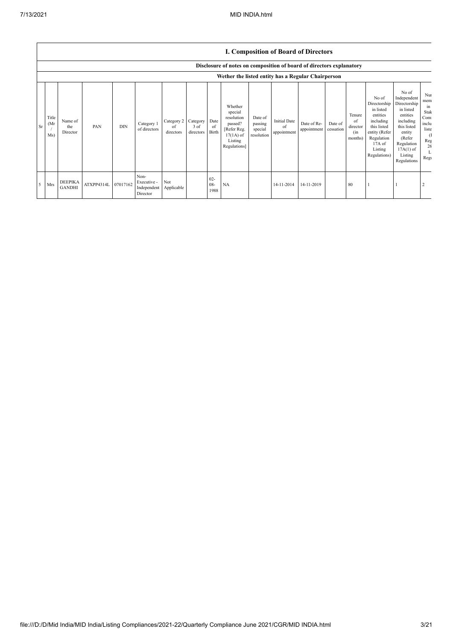|             |                                                    |                                 |            |            |                                                |                               |                               |                          |                                                                                                      |                                             | <b>I. Composition of Board of Directors</b> |                            |                      |                                            |                                                                                                                                                |                                                                                                                                                                      |                                                                                        |
|-------------|----------------------------------------------------|---------------------------------|------------|------------|------------------------------------------------|-------------------------------|-------------------------------|--------------------------|------------------------------------------------------------------------------------------------------|---------------------------------------------|---------------------------------------------|----------------------------|----------------------|--------------------------------------------|------------------------------------------------------------------------------------------------------------------------------------------------|----------------------------------------------------------------------------------------------------------------------------------------------------------------------|----------------------------------------------------------------------------------------|
|             |                                                    |                                 |            |            |                                                |                               |                               |                          | Disclosure of notes on composition of board of directors explanatory                                 |                                             |                                             |                            |                      |                                            |                                                                                                                                                |                                                                                                                                                                      |                                                                                        |
|             | Wether the listed entity has a Regular Chairperson |                                 |            |            |                                                |                               |                               |                          |                                                                                                      |                                             |                                             |                            |                      |                                            |                                                                                                                                                |                                                                                                                                                                      |                                                                                        |
| Sr          | Title<br>(Mr)<br>Ms)                               | Name of<br>the<br>Director      | PAN        | <b>DIN</b> | Category 1<br>of directors                     | Category 2<br>of<br>directors | Category<br>3 of<br>directors | Date<br>of<br>Birth      | Whether<br>special<br>resolution<br>passed?<br>[Refer Reg.<br>$17(1A)$ of<br>Listing<br>Regulations] | Date of<br>passing<br>special<br>resolution | <b>Initial Date</b><br>of<br>appointment    | Date of Re-<br>appointment | Date of<br>cessation | Tenure<br>of<br>director<br>(in<br>months) | No of<br>Directorship<br>in listed<br>entities<br>including<br>this listed<br>entity (Refer<br>Regulation<br>17A of<br>Listing<br>Regulations) | No of<br>Independent<br>Directorship<br>in listed<br>entities<br>including<br>this listed<br>entity<br>(Refer<br>Regulation<br>$17A(1)$ of<br>Listing<br>Regulations | Nui<br>mem<br>m<br>Stak<br>Com<br>inclu<br>liste<br><sup>(1</sup><br>Reg<br>26<br>Regu |
| $5^{\circ}$ | Mrs                                                | <b>DEEPIKA</b><br><b>GANDHI</b> | ATXPP4314L | 07017162   | Non-<br>Executive -<br>Independent<br>Director | Not<br>Applicable             |                               | $02 -$<br>$08 -$<br>1988 | NA                                                                                                   |                                             | 14-11-2014                                  | 14-11-2019                 |                      | 80                                         |                                                                                                                                                |                                                                                                                                                                      |                                                                                        |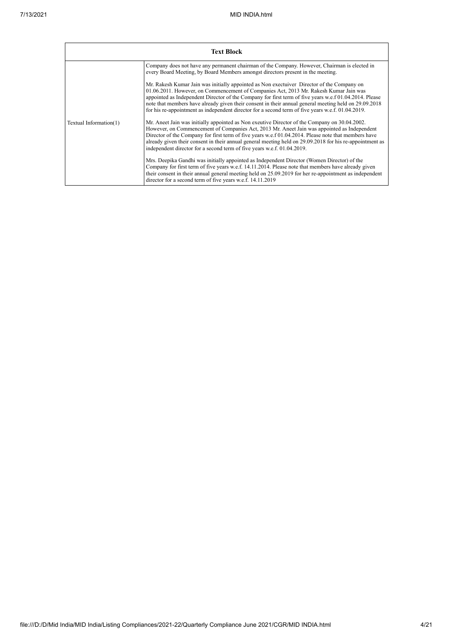|                        | <b>Text Block</b>                                                                                                                                                                                                                                                                                                                                                                                                                                                                                           |
|------------------------|-------------------------------------------------------------------------------------------------------------------------------------------------------------------------------------------------------------------------------------------------------------------------------------------------------------------------------------------------------------------------------------------------------------------------------------------------------------------------------------------------------------|
|                        | Company does not have any permanent chairman of the Company. However, Chairman is elected in<br>every Board Meeting, by Board Members amongst directors present in the meeting.                                                                                                                                                                                                                                                                                                                             |
|                        | Mr. Rakesh Kumar Jain was initially appointed as Non exectuiver Director of the Company on<br>01.06.2011. However, on Commencement of Companies Act, 2013 Mr. Rakesh Kumar Jain was<br>appointed as Independent Director of the Company for first term of five years w.e.f 01.04.2014. Please<br>note that members have already given their consent in their annual general meeting held on 29.09.2018<br>for his re-appointment as independent director for a second term of five years w.e.f. 01.04.2019. |
| Textual Information(1) | Mr. Aneet Jain was initially appointed as Non exercive Director of the Company on 30.04.2002.<br>However, on Commencement of Companies Act, 2013 Mr. Aneet Jain was appointed as Independent<br>Director of the Company for first term of five years w.e.f 01.04.2014. Please note that members have<br>already given their consent in their annual general meeting held on 29.09.2018 for his re-appointment as<br>independent director for a second term of five years w.e.f. 01.04.2019.                 |
|                        | Mrs. Deepika Gandhi was initially appointed as Independent Director (Women Director) of the<br>Company for first term of five years w.e.f. 14.11.2014. Please note that members have already given<br>their consent in their annual general meeting held on 25.09.2019 for her re-appointment as independent<br>director for a second term of five years w.e.f. 14.11.2019                                                                                                                                  |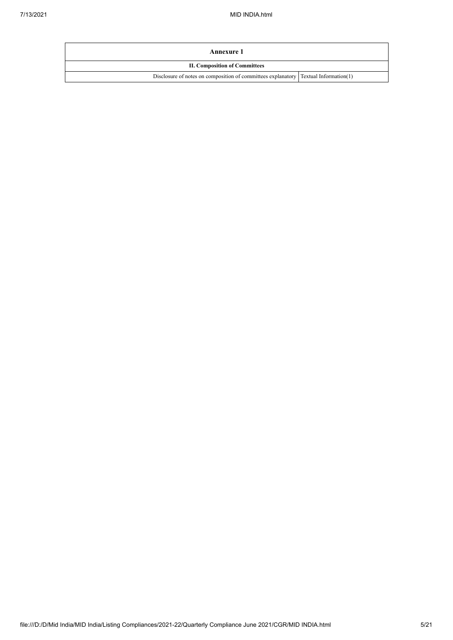| Annexure 1                                                                            |  |  |  |  |  |
|---------------------------------------------------------------------------------------|--|--|--|--|--|
| <b>II. Composition of Committees</b>                                                  |  |  |  |  |  |
| Disclosure of notes on composition of committees explanatory   Textual Information(1) |  |  |  |  |  |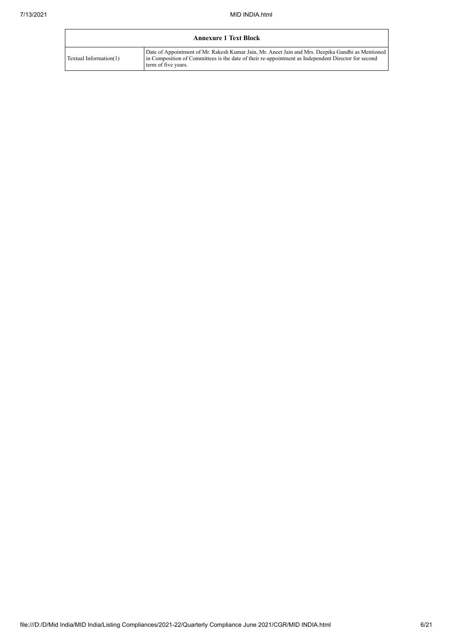|                        | <b>Annexure 1 Text Block</b>                                                                                                                                                                                                    |
|------------------------|---------------------------------------------------------------------------------------------------------------------------------------------------------------------------------------------------------------------------------|
| Textual Information(1) | Date of Appointment of Mr. Rakesh Kumar Jain, Mr. Aneet Jain and Mrs. Deepika Gandhi as Mentioned<br>in Composition of Committees is the date of their re-appointment as Independent Director for second<br>term of five years. |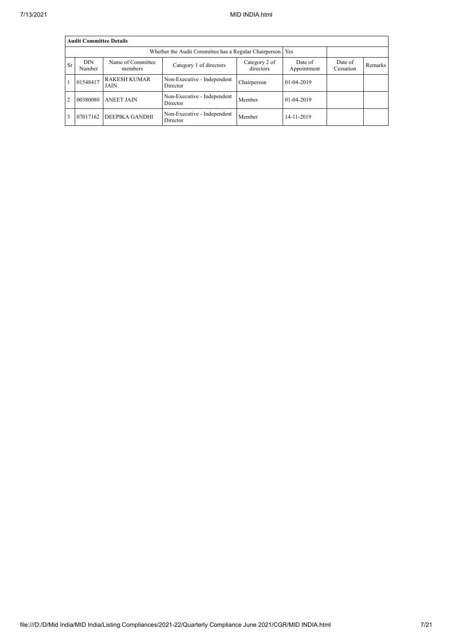|           | <b>Audit Committee Details</b> |                              |                                         |                            |                        |                      |         |  |  |  |  |
|-----------|--------------------------------|------------------------------|-----------------------------------------|----------------------------|------------------------|----------------------|---------|--|--|--|--|
|           |                                |                              |                                         |                            |                        |                      |         |  |  |  |  |
| <b>Sr</b> | <b>DIN</b><br>Number           | Name of Committee<br>members | Category 1 of directors                 | Category 2 of<br>directors | Date of<br>Appointment | Date of<br>Cessation | Remarks |  |  |  |  |
|           | 01548417                       | <b>RAKESH KUMAR</b><br>JAIN  | Non-Executive - Independent<br>Director | Chairperson                | $01-04-2019$           |                      |         |  |  |  |  |
| 2         | 00380080                       | <b>ANEET JAIN</b>            | Non-Executive - Independent<br>Director | Member                     | $01-04-2019$           |                      |         |  |  |  |  |
|           | 07017162                       | DEEPIKA GANDHI               | Non-Executive - Independent<br>Director | Member                     | 14-11-2019             |                      |         |  |  |  |  |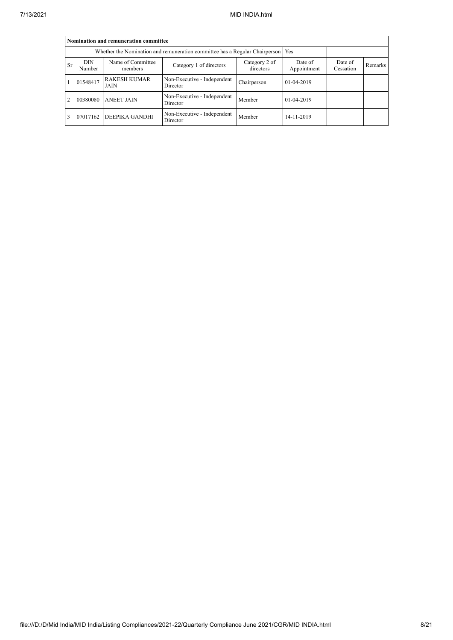|                | Nomination and remuneration committee                                             |                              |                                         |                            |                        |                      |                |  |  |  |  |
|----------------|-----------------------------------------------------------------------------------|------------------------------|-----------------------------------------|----------------------------|------------------------|----------------------|----------------|--|--|--|--|
|                | Whether the Nomination and remuneration committee has a Regular Chairperson   Yes |                              |                                         |                            |                        |                      |                |  |  |  |  |
| <b>Sr</b>      | <b>DIN</b><br>Number                                                              | Name of Committee<br>members | Category 1 of directors                 | Category 2 of<br>directors | Date of<br>Appointment | Date of<br>Cessation | <b>Remarks</b> |  |  |  |  |
|                | 01548417                                                                          | <b>RAKESH KUMAR</b><br>JAIN  | Non-Executive - Independent<br>Director | Chairperson                | $01-04-2019$           |                      |                |  |  |  |  |
| $\overline{2}$ | 00380080                                                                          | <b>ANEET JAIN</b>            | Non-Executive - Independent<br>Director | Member                     | 01-04-2019             |                      |                |  |  |  |  |
|                | 07017162                                                                          | <b>DEEPIKA GANDHI</b>        | Non-Executive - Independent<br>Director | Member                     | 14-11-2019             |                      |                |  |  |  |  |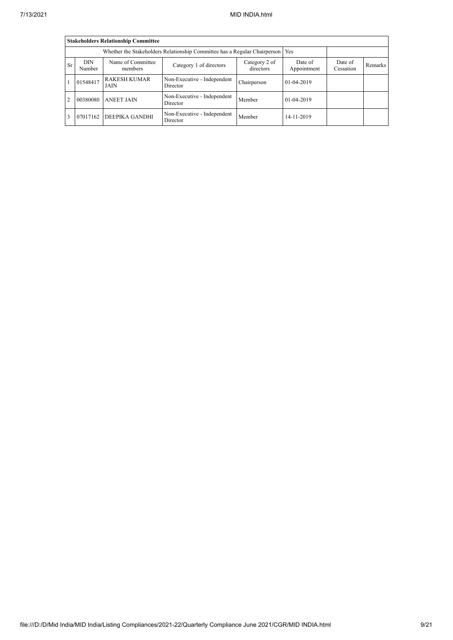|           | <b>Stakeholders Relationship Committee</b>                                |                              |                                         |                            |                        |                      |         |  |  |  |  |
|-----------|---------------------------------------------------------------------------|------------------------------|-----------------------------------------|----------------------------|------------------------|----------------------|---------|--|--|--|--|
|           | Whether the Stakeholders Relationship Committee has a Regular Chairperson |                              |                                         |                            |                        |                      |         |  |  |  |  |
| <b>Sr</b> | <b>DIN</b><br>Number                                                      | Name of Committee<br>members | Category 1 of directors                 | Category 2 of<br>directors | Date of<br>Appointment | Date of<br>Cessation | Remarks |  |  |  |  |
|           | 01548417                                                                  | <b>RAKESH KUMAR</b><br>JAIN  | Non-Executive - Independent<br>Director | Chairperson                | $01-04-2019$           |                      |         |  |  |  |  |
| 2         | 00380080                                                                  | <b>ANEET JAIN</b>            | Non-Executive - Independent<br>Director | Member                     | 01-04-2019             |                      |         |  |  |  |  |
|           | 07017162                                                                  | DEEPIKA GANDHI               | Non-Executive - Independent<br>Director | Member                     | 14-11-2019             |                      |         |  |  |  |  |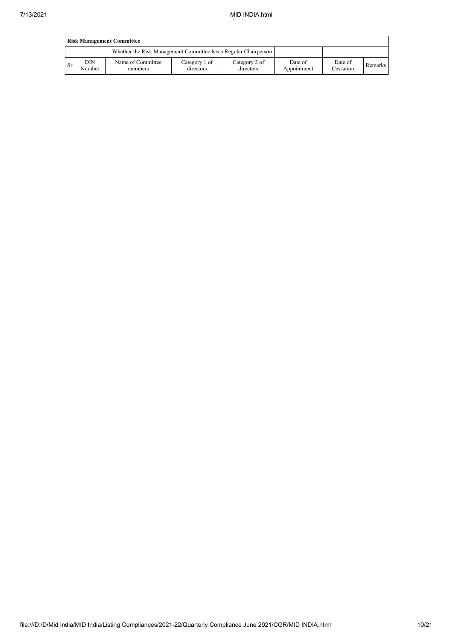|           | <b>Risk Management Committee</b> |                                                                 |                            |                            |                        |                      |         |  |  |  |  |
|-----------|----------------------------------|-----------------------------------------------------------------|----------------------------|----------------------------|------------------------|----------------------|---------|--|--|--|--|
|           |                                  | Whether the Risk Management Committee has a Regular Chairperson |                            |                            |                        |                      |         |  |  |  |  |
| <b>Sr</b> | DIN<br>Number                    | Name of Committee<br>members                                    | Category 1 of<br>directors | Category 2 of<br>directors | Date of<br>Appointment | Date of<br>Cessation | Remarks |  |  |  |  |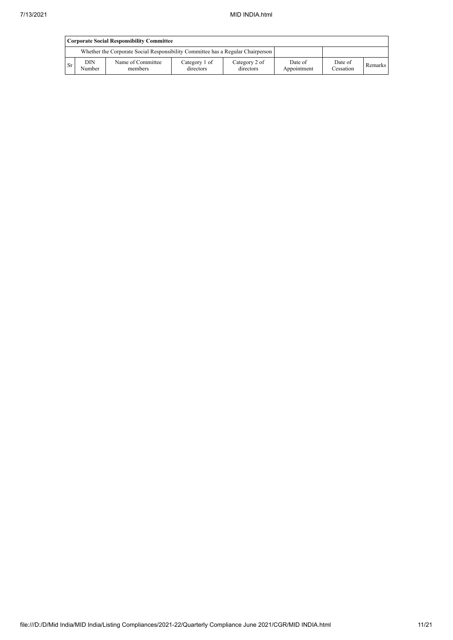|    | <b>Corporate Social Responsibility Committee</b> |                                                                                 |                            |                            |                        |                      |         |  |  |  |
|----|--------------------------------------------------|---------------------------------------------------------------------------------|----------------------------|----------------------------|------------------------|----------------------|---------|--|--|--|
|    |                                                  | Whether the Corporate Social Responsibility Committee has a Regular Chairperson |                            |                            |                        |                      |         |  |  |  |
| Sr | <b>DIN</b><br>Number                             | Name of Committee<br>members                                                    | Category 1 of<br>directors | Category 2 of<br>directors | Date of<br>Appointment | Date of<br>Cessation | Remarks |  |  |  |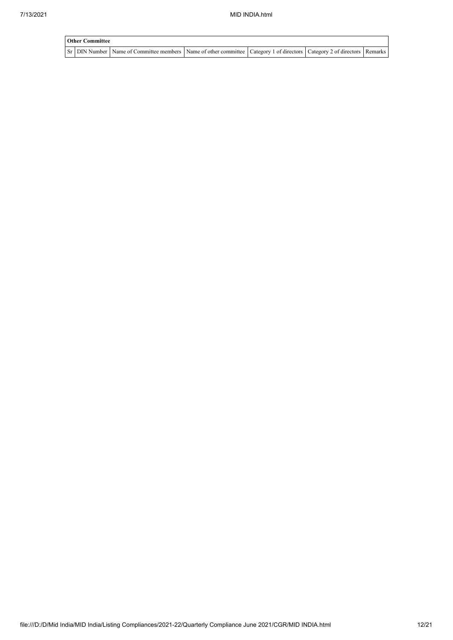| <b>Other Committee</b> |                                                                                                                         |  |  |  |  |  |  |  |  |
|------------------------|-------------------------------------------------------------------------------------------------------------------------|--|--|--|--|--|--|--|--|
|                        | Sr DIN Number Name of Committee members Name of other committee Category 1 of directors Category 2 of directors Remarks |  |  |  |  |  |  |  |  |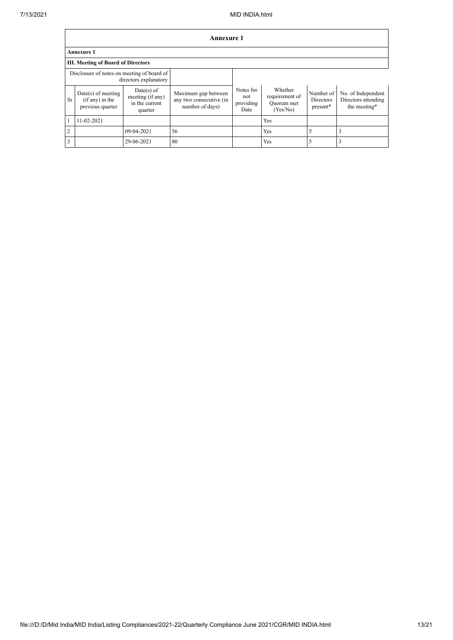|                                                                     | Annexure 1                                                    |                                                               |                                                                   |                                       |                                                     |                                    |                                                           |
|---------------------------------------------------------------------|---------------------------------------------------------------|---------------------------------------------------------------|-------------------------------------------------------------------|---------------------------------------|-----------------------------------------------------|------------------------------------|-----------------------------------------------------------|
|                                                                     | <b>Annexure 1</b>                                             |                                                               |                                                                   |                                       |                                                     |                                    |                                                           |
|                                                                     | <b>III. Meeting of Board of Directors</b>                     |                                                               |                                                                   |                                       |                                                     |                                    |                                                           |
| Disclosure of notes on meeting of board of<br>directors explanatory |                                                               |                                                               |                                                                   |                                       |                                                     |                                    |                                                           |
| <b>Sr</b>                                                           | $Date(s)$ of meeting<br>$(if any)$ in the<br>previous quarter | $Date(s)$ of<br>meeting (if any)<br>in the current<br>quarter | Maximum gap between<br>any two consecutive (in<br>number of days) | Notes for<br>not<br>providing<br>Date | Whether<br>requirement of<br>Ouorum met<br>(Yes/No) | Number of<br>Directors<br>present* | No. of Independent<br>Directors attending<br>the meeting* |
|                                                                     | 11-02-2021                                                    |                                                               |                                                                   |                                       | Yes                                                 |                                    |                                                           |
| $\overline{2}$                                                      |                                                               | 09-04-2021                                                    | 56                                                                |                                       | Yes                                                 | 5                                  | 3                                                         |
| $\overline{\mathbf{3}}$                                             |                                                               | 29-06-2021                                                    | 80                                                                |                                       | Yes                                                 | 5                                  |                                                           |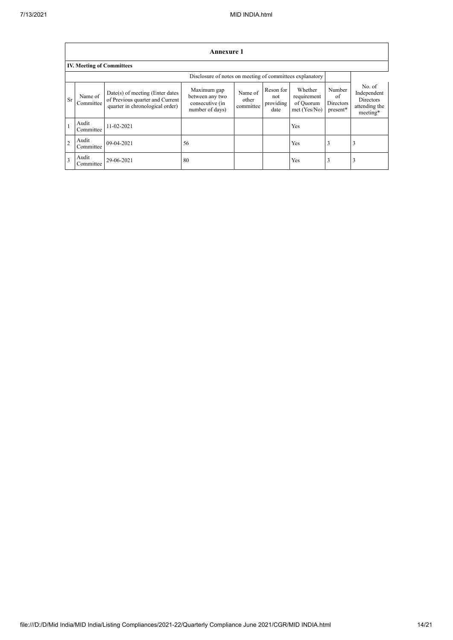$\mathsf{r}$ 

|                         | <b>Annexure 1</b>                                        |                                                                                                         |                                                                      |                               |                                       |                                                     |                                       |                                                                        |
|-------------------------|----------------------------------------------------------|---------------------------------------------------------------------------------------------------------|----------------------------------------------------------------------|-------------------------------|---------------------------------------|-----------------------------------------------------|---------------------------------------|------------------------------------------------------------------------|
|                         | <b>IV. Meeting of Committees</b>                         |                                                                                                         |                                                                      |                               |                                       |                                                     |                                       |                                                                        |
|                         | Disclosure of notes on meeting of committees explanatory |                                                                                                         |                                                                      |                               |                                       |                                                     |                                       |                                                                        |
| Sr                      | Name of<br>Committee                                     | $Date(s)$ of meeting (Enter dates<br>of Previous quarter and Current<br>quarter in chronological order) | Maximum gap<br>between any two<br>consecutive (in<br>number of days) | Name of<br>other<br>committee | Reson for<br>not<br>providing<br>date | Whether<br>requirement<br>of Quorum<br>met (Yes/No) | Number<br>of<br>Directors<br>present* | No. of<br>Independent<br><b>Directors</b><br>attending the<br>meeting* |
| 1                       | Audit<br>Committee                                       | 11-02-2021                                                                                              |                                                                      |                               |                                       | Yes                                                 |                                       |                                                                        |
| $\overline{2}$          | Audit<br>Committee                                       | 09-04-2021                                                                                              | 56                                                                   |                               |                                       | Yes                                                 | 3                                     | 3                                                                      |
| $\overline{\mathbf{3}}$ | Audit<br>Committee                                       | 29-06-2021                                                                                              | 80                                                                   |                               |                                       | Yes                                                 | 3                                     | 3                                                                      |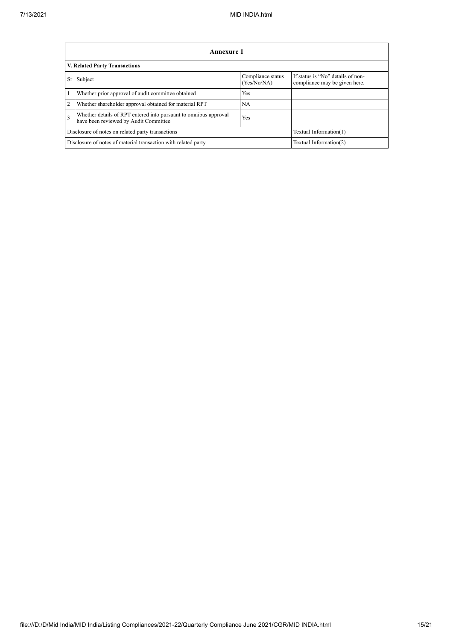|                | Annexure 1                                                                                                |                                  |                                                                    |  |  |
|----------------|-----------------------------------------------------------------------------------------------------------|----------------------------------|--------------------------------------------------------------------|--|--|
|                | V. Related Party Transactions                                                                             |                                  |                                                                    |  |  |
| Sr             | Subject                                                                                                   | Compliance status<br>(Yes/No/NA) | If status is "No" details of non-<br>compliance may be given here. |  |  |
| 1              | Whether prior approval of audit committee obtained                                                        | Yes                              |                                                                    |  |  |
| $\overline{2}$ | Whether shareholder approval obtained for material RPT                                                    | NA.                              |                                                                    |  |  |
| $\overline{3}$ | Whether details of RPT entered into pursuant to omnibus approval<br>have been reviewed by Audit Committee | <b>Yes</b>                       |                                                                    |  |  |
|                | Disclosure of notes on related party transactions<br>Textual Information(1)                               |                                  |                                                                    |  |  |
|                | Disclosure of notes of material transaction with related party<br>Textual Information(2)                  |                                  |                                                                    |  |  |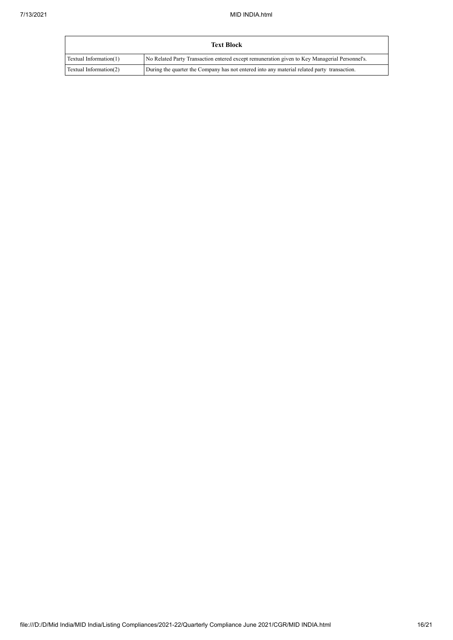|                        | <b>Text Block</b>                                                                             |
|------------------------|-----------------------------------------------------------------------------------------------|
| Textual Information(1) | No Related Party Transaction entered except remuneration given to Key Managerial Personnel's. |
| Textual Information(2) | During the quarter the Company has not entered into any material related party transaction.   |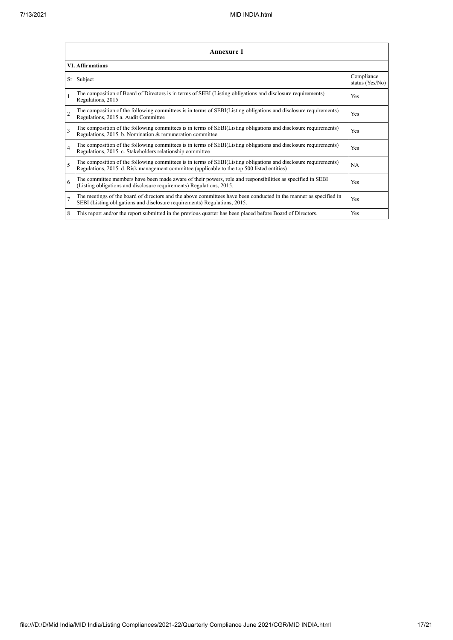|                | <b>Annexure 1</b>                                                                                                                                                                                               |                               |  |  |  |
|----------------|-----------------------------------------------------------------------------------------------------------------------------------------------------------------------------------------------------------------|-------------------------------|--|--|--|
|                | <b>VI.</b> Affirmations                                                                                                                                                                                         |                               |  |  |  |
|                | Sr Subject                                                                                                                                                                                                      | Compliance<br>status (Yes/No) |  |  |  |
|                | The composition of Board of Directors is in terms of SEBI (Listing obligations and disclosure requirements)<br>Regulations, 2015                                                                                | Yes                           |  |  |  |
| $\overline{2}$ | The composition of the following committees is in terms of SEBI(Listing obligations and disclosure requirements)<br>Regulations, 2015 a. Audit Committee                                                        | <b>Yes</b>                    |  |  |  |
| 3              | The composition of the following committees is in terms of SEBI(Listing obligations and disclosure requirements)<br>Regulations, 2015. b. Nomination & remuneration committee                                   | Yes                           |  |  |  |
| $\overline{4}$ | The composition of the following committees is in terms of SEBI(Listing obligations and disclosure requirements)<br>Regulations, 2015. c. Stakeholders relationship committee                                   | <b>Yes</b>                    |  |  |  |
| 5              | The composition of the following committees is in terms of SEBI(Listing obligations and disclosure requirements)<br>Regulations, 2015. d. Risk management committee (applicable to the top 500 listed entities) | <b>NA</b>                     |  |  |  |
| 6              | The committee members have been made aware of their powers, role and responsibilities as specified in SEBI<br>(Listing obligations and disclosure requirements) Regulations, 2015.                              | <b>Yes</b>                    |  |  |  |
| $\overline{7}$ | The meetings of the board of directors and the above committees have been conducted in the manner as specified in<br>SEBI (Listing obligations and disclosure requirements) Regulations, 2015.                  | Yes                           |  |  |  |
| 8              | This report and/or the report submitted in the previous quarter has been placed before Board of Directors.                                                                                                      | <b>Yes</b>                    |  |  |  |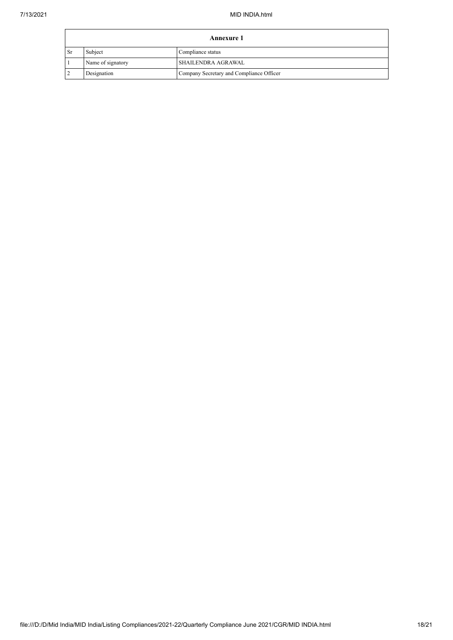|      | <b>Annexure 1</b> |                                          |  |  |
|------|-------------------|------------------------------------------|--|--|
| 1 Sr | Subject           | Compliance status                        |  |  |
|      | Name of signatory | <b>SHAILENDRA AGRAWAL</b>                |  |  |
|      | Designation       | Company Secretary and Compliance Officer |  |  |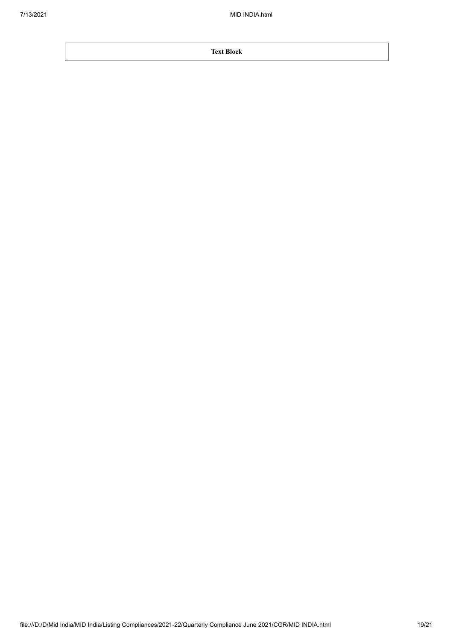**Text Block**